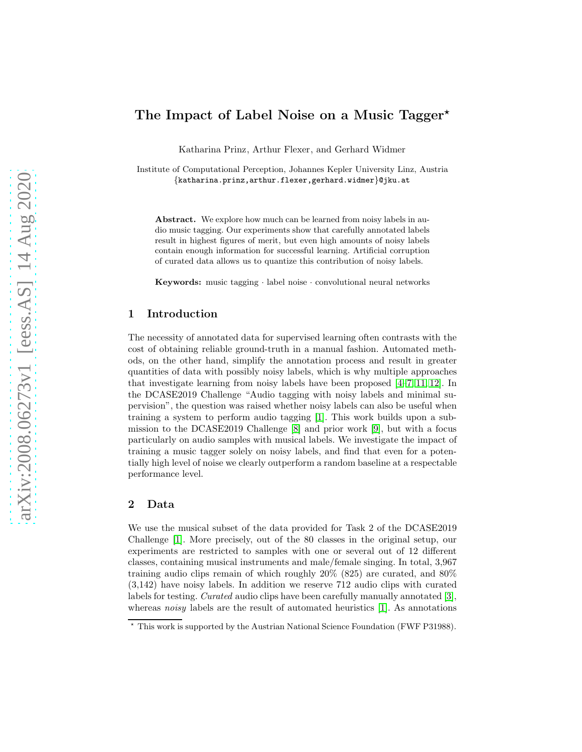# The Impact of Label Noise on a Music Tagger<sup>\*</sup>

Katharina Prinz, Arthur Flexer, and Gerhard Widmer

Institute of Computational Perception, Johannes Kepler University Linz, Austria {katharina.prinz,arthur.flexer,gerhard.widmer}@jku.at

Abstract. We explore how much can be learned from noisy labels in audio music tagging. Our experiments show that carefully annotated labels result in highest figures of merit, but even high amounts of noisy labels contain enough information for successful learning. Artificial corruption of curated data allows us to quantize this contribution of noisy labels.

Keywords: music tagging · label noise · convolutional neural networks

#### 1 Introduction

The necessity of annotated data for supervised learning often contrasts with the cost of obtaining reliable ground-truth in a manual fashion. Automated methods, on the other hand, simplify the annotation process and result in greater quantities of data with possibly noisy labels, which is why multiple approaches that investigate learning from noisy labels have been proposed [\[4](#page-3-0)[–7,](#page-3-1) [11,](#page-3-2) [12\]](#page-3-3). In the DCASE2019 Challenge "Audio tagging with noisy labels and minimal supervision", the question was raised whether noisy labels can also be useful when training a system to perform audio tagging [\[1\]](#page-3-4). This work builds upon a submission to the DCASE2019 Challenge [\[8\]](#page-3-5) and prior work [\[9\]](#page-3-6), but with a focus particularly on audio samples with musical labels. We investigate the impact of training a music tagger solely on noisy labels, and find that even for a potentially high level of noise we clearly outperform a random baseline at a respectable performance level.

#### <span id="page-0-0"></span>2 Data

We use the musical subset of the data provided for Task 2 of the DCASE2019 Challenge [\[1\]](#page-3-4). More precisely, out of the 80 classes in the original setup, our experiments are restricted to samples with one or several out of 12 different classes, containing musical instruments and male/female singing. In total, 3,967 training audio clips remain of which roughly 20% (825) are curated, and 80% (3,142) have noisy labels. In addition we reserve 712 audio clips with curated labels for testing. Curated audio clips have been carefully manually annotated [\[3\]](#page-3-7), whereas noisy labels are the result of automated heuristics  $[1]$ . As annotations

<sup>⋆</sup> This work is supported by the Austrian National Science Foundation (FWF P31988).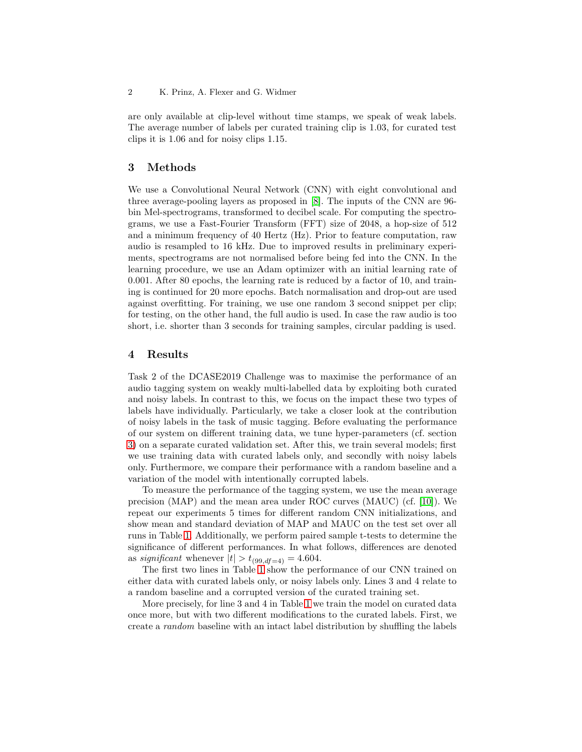are only available at clip-level without time stamps, we speak of weak labels. The average number of labels per curated training clip is 1.03, for curated test clips it is 1.06 and for noisy clips 1.15.

## <span id="page-1-0"></span>3 Methods

We use a Convolutional Neural Network (CNN) with eight convolutional and three average-pooling layers as proposed in [\[8\]](#page-3-5). The inputs of the CNN are 96 bin Mel-spectrograms, transformed to decibel scale. For computing the spectrograms, we use a Fast-Fourier Transform (FFT) size of 2048, a hop-size of 512 and a minimum frequency of 40 Hertz (Hz). Prior to feature computation, raw audio is resampled to 16 kHz. Due to improved results in preliminary experiments, spectrograms are not normalised before being fed into the CNN. In the learning procedure, we use an Adam optimizer with an initial learning rate of 0.001. After 80 epochs, the learning rate is reduced by a factor of 10, and training is continued for 20 more epochs. Batch normalisation and drop-out are used against overfitting. For training, we use one random 3 second snippet per clip; for testing, on the other hand, the full audio is used. In case the raw audio is too short, i.e. shorter than 3 seconds for training samples, circular padding is used.

## 4 Results

Task 2 of the DCASE2019 Challenge was to maximise the performance of an audio tagging system on weakly multi-labelled data by exploiting both curated and noisy labels. In contrast to this, we focus on the impact these two types of labels have individually. Particularly, we take a closer look at the contribution of noisy labels in the task of music tagging. Before evaluating the performance of our system on different training data, we tune hyper-parameters (cf. section [3\)](#page-1-0) on a separate curated validation set. After this, we train several models; first we use training data with curated labels only, and secondly with noisy labels only. Furthermore, we compare their performance with a random baseline and a variation of the model with intentionally corrupted labels.

To measure the performance of the tagging system, we use the mean average precision (MAP) and the mean area under ROC curves (MAUC) (cf. [\[10\]](#page-3-8)). We repeat our experiments 5 times for different random CNN initializations, and show mean and standard deviation of MAP and MAUC on the test set over all runs in Table [1.](#page-2-0) Additionally, we perform paired sample t-tests to determine the significance of different performances. In what follows, differences are denoted as *significant* whenever  $|t| > t_{(99, df=4)} = 4.604$ .

The first two lines in Table [1](#page-2-0) show the performance of our CNN trained on either data with curated labels only, or noisy labels only. Lines 3 and 4 relate to a random baseline and a corrupted version of the curated training set.

More precisely, for line 3 and 4 in Table [1](#page-2-0) we train the model on curated data once more, but with two different modifications to the curated labels. First, we create a random baseline with an intact label distribution by shuffling the labels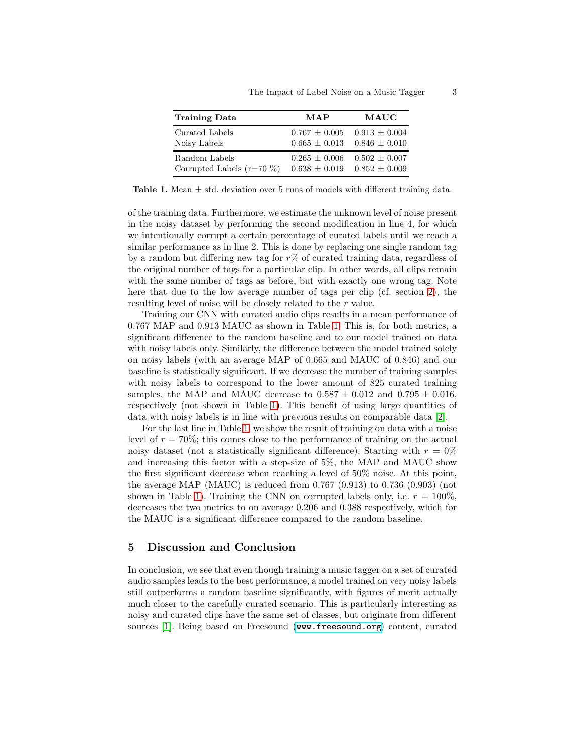| <b>Training Data</b>          | <b>MAP</b>        | $\mathbf{MAUC}$   |
|-------------------------------|-------------------|-------------------|
| Curated Labels                | $0.767 \pm 0.005$ | $0.913 \pm 0.004$ |
| Noisy Labels                  | $0.665 \pm 0.013$ | $0.846 \pm 0.010$ |
| Random Labels                 | $0.265 + 0.006$   | $0.502 \pm 0.007$ |
| Corrupted Labels ( $r=70\%$ ) | $0.638 \pm 0.019$ | $0.852 \pm 0.009$ |

<span id="page-2-0"></span>**Table 1.** Mean  $\pm$  std. deviation over 5 runs of models with different training data.

of the training data. Furthermore, we estimate the unknown level of noise present in the noisy dataset by performing the second modification in line 4, for which we intentionally corrupt a certain percentage of curated labels until we reach a similar performance as in line 2. This is done by replacing one single random tag by a random but differing new tag for  $r\%$  of curated training data, regardless of the original number of tags for a particular clip. In other words, all clips remain with the same number of tags as before, but with exactly one wrong tag. Note here that due to the low average number of tags per clip (cf. section [2\)](#page-0-0), the resulting level of noise will be closely related to the r value.

Training our CNN with curated audio clips results in a mean performance of 0.767 MAP and 0.913 MAUC as shown in Table [1.](#page-2-0) This is, for both metrics, a significant difference to the random baseline and to our model trained on data with noisy labels only. Similarly, the difference between the model trained solely on noisy labels (with an average MAP of 0.665 and MAUC of 0.846) and our baseline is statistically significant. If we decrease the number of training samples with noisy labels to correspond to the lower amount of 825 curated training samples, the MAP and MAUC decrease to  $0.587 \pm 0.012$  and  $0.795 \pm 0.016$ , respectively (not shown in Table [1\)](#page-2-0). This benefit of using large quantities of data with noisy labels is in line with previous results on comparable data [\[2\]](#page-3-9).

For the last line in Table [1,](#page-2-0) we show the result of training on data with a noise level of  $r = 70\%$ ; this comes close to the performance of training on the actual noisy dataset (not a statistically significant difference). Starting with  $r = 0\%$ and increasing this factor with a step-size of 5%, the MAP and MAUC show the first significant decrease when reaching a level of 50% noise. At this point, the average MAP (MAUC) is reduced from  $0.767$   $(0.913)$  to  $0.736$   $(0.903)$  (not shown in Table [1\)](#page-2-0). Training the CNN on corrupted labels only, i.e.  $r = 100\%$ , decreases the two metrics to on average 0.206 and 0.388 respectively, which for the MAUC is a significant difference compared to the random baseline.

# 5 Discussion and Conclusion

In conclusion, we see that even though training a music tagger on a set of curated audio samples leads to the best performance, a model trained on very noisy labels still outperforms a random baseline significantly, with figures of merit actually much closer to the carefully curated scenario. This is particularly interesting as noisy and curated clips have the same set of classes, but originate from different sources [\[1\]](#page-3-4). Being based on Freesound (<www.freesound.org>) content, curated